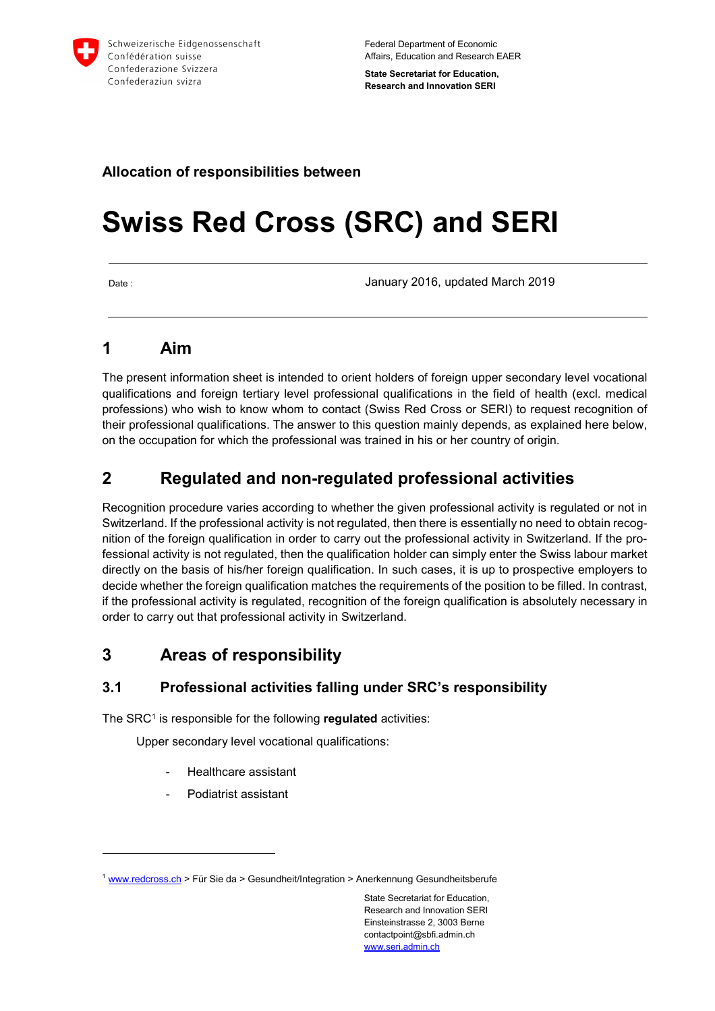

Federal Department of Economic Affairs, Education and Research EAER

**State Secretariat for Education, Research and Innovation SERI** 

### **Allocation of responsibilities between**

# **Swiss Red Cross (SRC) and SERI**

 $\overline{a}$ 

Date : January 2016, updated March 2019

## **1 Aim**

The present information sheet is intended to orient holders of foreign upper secondary level vocational qualifications and foreign tertiary level professional qualifications in the field of health (excl. medical professions) who wish to know whom to contact (Swiss Red Cross or SERI) to request recognition of their professional qualifications. The answer to this question mainly depends, as explained here below, on the occupation for which the professional was trained in his or her country of origin.

# **2 Regulated and non-regulated professional activities**

Recognition procedure varies according to whether the given professional activity is regulated or not in Switzerland. If the professional activity is not regulated, then there is essentially no need to obtain recognition of the foreign qualification in order to carry out the professional activity in Switzerland. If the professional activity is not regulated, then the qualification holder can simply enter the Swiss labour market directly on the basis of his/her foreign qualification. In such cases, it is up to prospective employers to decide whether the foreign qualification matches the requirements of the position to be filled. In contrast, if the professional activity is regulated, recognition of the foreign qualification is absolutely necessary in order to carry out that professional activity in Switzerland.

## **3 Areas of responsibility**

#### **3.1 Professional activities falling under SRC's responsibility**

The SRC<sup>1</sup> is responsible for the following **regulated** activities:

Upper secondary level vocational qualifications:

- Healthcare assistant
- Podiatrist assistant

<sup>&</sup>lt;sup>1</sup> www.redcross.ch > Für Sie da > Gesundheit/Integration > Anerkennung Gesundheitsberufe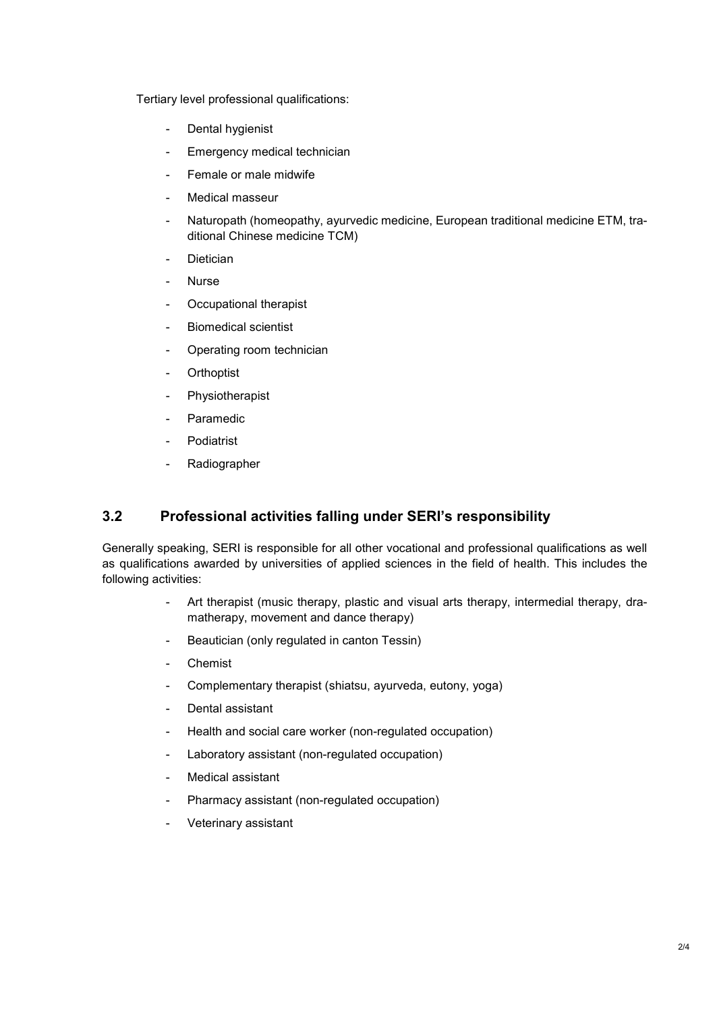Tertiary level professional qualifications:

- Dental hygienist
- Emergency medical technician
- Female or male midwife
- Medical masseur
- Naturopath (homeopathy, ayurvedic medicine, European traditional medicine ETM, traditional Chinese medicine TCM)
- Dietician
- Nurse
- Occupational therapist
- Biomedical scientist
- Operating room technician
- Orthoptist
- Physiotherapist
- Paramedic
- Podiatrist
- **Radiographer**

#### **3.2 Professional activities falling under SERI's responsibility**

Generally speaking, SERI is responsible for all other vocational and professional qualifications as well as qualifications awarded by universities of applied sciences in the field of health. This includes the following activities:

- Art therapist (music therapy, plastic and visual arts therapy, intermedial therapy, dramatherapy, movement and dance therapy)
- Beautician (only regulated in canton Tessin)
- Chemist
- Complementary therapist (shiatsu, ayurveda, eutony, yoga)
- Dental assistant
- Health and social care worker (non-regulated occupation)
- Laboratory assistant (non-regulated occupation)
- Medical assistant
- Pharmacy assistant (non-regulated occupation)
- Veterinary assistant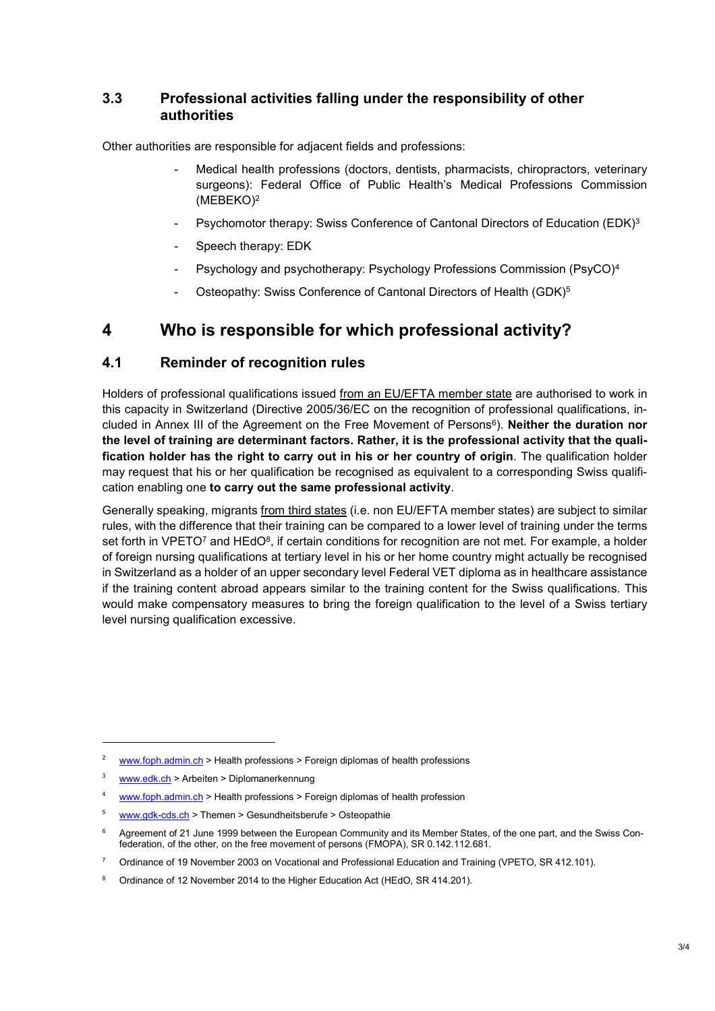#### **3.3 Professional activities falling under the responsibility of other authorities**

Other authorities are responsible for adjacent fields and professions:

- Medical health professions (doctors, dentists, pharmacists, chiropractors, veterinary surgeons): Federal Office of Public Health's Medical Professions Commission (MEBEKO)<sup>2</sup>
- Psychomotor therapy: Swiss Conference of Cantonal Directors of Education (EDK)<sup>3</sup>
- Speech therapy: EDK
- Psychology and psychotherapy: Psychology Professions Commission (PsyCO)<sup>4</sup>
- Osteopathy: Swiss Conference of Cantonal Directors of Health (GDK)<sup>5</sup>

## **4 Who is responsible for which professional activity?**

#### **4.1 Reminder of recognition rules**

Holders of professional qualifications issued from an EU/EFTA member state are authorised to work in this capacity in Switzerland (Directive 2005/36/EC on the recognition of professional qualifications, included in Annex III of the Agreement on the Free Movement of Persons<sup>6</sup>). **Neither the duration nor the level of training are determinant factors. Rather, it is the professional activity that the qualification holder has the right to carry out in his or her country of origin**. The qualification holder may request that his or her qualification be recognised as equivalent to a corresponding Swiss qualification enabling one **to carry out the same professional activity**.

Generally speaking, migrants from third states (i.e. non EU/EFTA member states) are subject to similar rules, with the difference that their training can be compared to a lower level of training under the terms set forth in VPETO<sup>7</sup> and HEdO $^{\rm 8}$ , if certain conditions for recognition are not met. For example, a holder of foreign nursing qualifications at tertiary level in his or her home country might actually be recognised in Switzerland as a holder of an upper secondary level Federal VET diploma as in healthcare assistance if the training content abroad appears similar to the training content for the Swiss qualifications. This would make compensatory measures to bring the foreign qualification to the level of a Swiss tertiary level nursing qualification excessive.

-

<sup>2</sup> www.foph.admin.ch > Health professions > Foreign diplomas of health professions

<sup>3</sup> www.edk.ch > Arbeiten > Diplomanerkennung

<sup>4</sup> www.foph.admin.ch > Health professions > Foreign diplomas of health profession

<sup>5</sup> www.gdk-cds.ch > Themen > Gesundheitsberufe > Osteopathie

<sup>6</sup> Agreement of 21 June 1999 between the European Community and its Member States, of the one part, and the Swiss Confederation, of the other, on the free movement of persons (FMOPA), SR 0.142.112.681.

<sup>7</sup> Ordinance of 19 November 2003 on Vocational and Professional Education and Training (VPETO, SR 412.101).

<sup>8</sup> Ordinance of 12 November 2014 to the Higher Education Act (HEdO, SR 414.201).